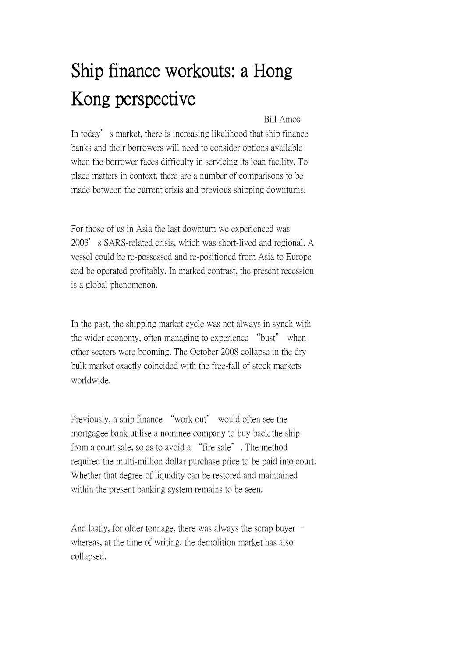## Ship finance workouts: a Hong Kong perspective

## Bill Amos

In today's market, there is increasing likelihood that ship finance banks and their borrowers will need to consider options available when the borrower faces difficulty in servicing its loan facility. To place matters in context, there are a number of comparisons to be made between the current crisis and previous shipping downturns.

For those of us in Asia the last downturn we experienced was 2003's SARS-related crisis, which was short-lived and regional. A vessel could be re-possessed and re-positioned from Asia to Europe and be operated profitably. In marked contrast, the present recession is a global phenomenon.

In the past, the shipping market cycle was not always in synch with the wider economy, often managing to experience "bust" when other sectors were booming. The October 2008 collapse in the dry bulk market exactly coincided with the free-fall of stock markets worldwide.

Previously, a ship finance "work out" would often see the mortgagee bank utilise a nominee company to buy back the ship from a court sale, so as to avoid a "fire sale". The method required the multi-million dollar purchase price to be paid into court. Whether that degree of liquidity can be restored and maintained within the present banking system remains to be seen.

And lastly, for older tonnage, there was always the scrap buyer – whereas, at the time of writing, the demolition market has also collapsed.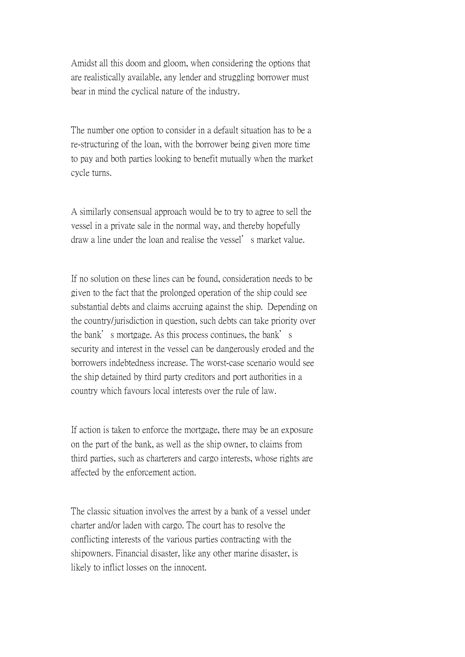Amidst all this doom and gloom, when considering the options that are realistically available, any lender and struggling borrower must bear in mind the cyclical nature of the industry.

The number one option to consider in a default situation has to be a re-structuring of the loan, with the borrower being given more time to pay and both parties looking to benefit mutually when the market cycle turns.

A similarly consensual approach would be to try to agree to sell the vessel in a private sale in the normal way, and thereby hopefully draw a line under the loan and realise the vessel's market value.

If no solution on these lines can be found, consideration needs to be given to the fact that the prolonged operation of the ship could see substantial debts and claims accruing against the ship. Depending on the country/jurisdiction in question, such debts can take priority over the bank's mortgage. As this process continues, the bank's security and interest in the vessel can be dangerously eroded and the borrowers indebtedness increase. The worst-case scenario would see the ship detained by third party creditors and port authorities in a country which favours local interests over the rule of law.

If action is taken to enforce the mortgage, there may be an exposure on the part of the bank, as well as the ship owner, to claims from third parties, such as charterers and cargo interests, whose rights are affected by the enforcement action.

The classic situation involves the arrest by a bank of a vessel under charter and/or laden with cargo. The court has to resolve the conflicting interests of the various parties contracting with the shipowners. Financial disaster, like any other marine disaster, is likely to inflict losses on the innocent.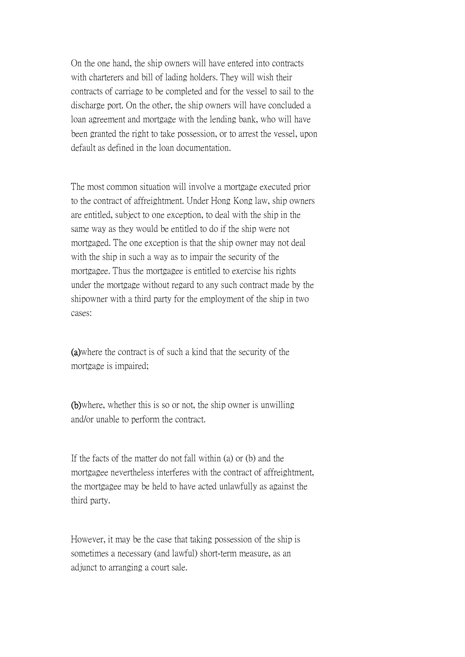On the one hand, the ship owners will have entered into contracts with charterers and bill of lading holders. They will wish their contracts of carriage to be completed and for the vessel to sail to the discharge port. On the other, the ship owners will have concluded a loan agreement and mortgage with the lending bank, who will have been granted the right to take possession, or to arrest the vessel, upon default as defined in the loan documentation.

The most common situation will involve a mortgage executed prior to the contract of affreightment. Under Hong Kong law, ship owners are entitled, subject to one exception, to deal with the ship in the same way as they would be entitled to do if the ship were not mortgaged. The one exception is that the ship owner may not deal with the ship in such a way as to impair the security of the mortgagee. Thus the mortgagee is entitled to exercise his rights under the mortgage without regard to any such contract made by the shipowner with a third party for the employment of the ship in two cases:

(a)where the contract is of such a kind that the security of the mortgage is impaired;

(b)where, whether this is so or not, the ship owner is unwilling and/or unable to perform the contract.

If the facts of the matter do not fall within (a) or (b) and the mortgagee nevertheless interferes with the contract of affreightment, the mortgagee may be held to have acted unlawfully as against the third party.

However, it may be the case that taking possession of the ship is sometimes a necessary (and lawful) short-term measure, as an adjunct to arranging a court sale.